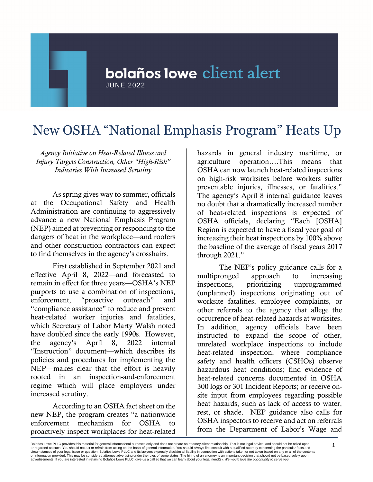## New OSHA "National Emphasis Program" Heats Up

*Agency Initiative on Heat-Related Illness and Injury Targets Construction, Other "High-Risk" Industries With Increased Scrutiny* 

As spring gives way to summer, officials at the Occupational Safety and Health Administration are continuing to aggressively advance a new National Emphasis Program (NEP) aimed at preventing or responding to the dangers of heat in the workplace—and roofers and other construction contractors can expect to find themselves in the agency's crosshairs.

First established in September 2021 and effective April 8, 2022—and forecasted to remain in effect for three years—OSHA's NEP purports to use a combination of inspections, enforcement, "proactive outreach" and "compliance assistance" to reduce and prevent heat-related worker injuries and fatalities, which Secretary of Labor Marty Walsh noted have doubled since the early 1990s. However, the agency's April 8, 2022 internal "Instruction" document—which describes its policies and procedures for implementing the NEP—makes clear that the effort is heavily rooted in an inspection-and-enforcement regime which will place employers under increased scrutiny.

According to an OSHA fact sheet on the new NEP, the program creates "a nationwide enforcement mechanism for OSHA to proactively inspect workplaces for heat-related

hazards in general industry maritime, or agriculture operation….This means that OSHA can now launch heat-related inspections on high-risk worksites before workers suffer preventable injuries, illnesses, or fatalities." The agency's April 8 internal guidance leaves no doubt that a dramatically increased number of heat-related inspections is expected of OSHA officials, declaring "Each [OSHA] Region is expected to have a fiscal year goal of increasing their heat inspections by 100% above the baseline of the average of fiscal years 2017 through 2021."

The NEP's policy guidance calls for a multipronged approach to increasing inspections, prioritizing unprogrammed (unplanned) inspections originating out of worksite fatalities, employee complaints, or other referrals to the agency that allege the occurrence of heat-related hazards at worksites. In addition, agency officials have been instructed to expand the scope of other, unrelated workplace inspections to include heat-related inspection, where compliance safety and health officers (CSHOs) observe hazardous heat conditions; find evidence of heat-related concerns documented in OSHA 300 logs or 301 Incident Reports; or receive onsite input from employees regarding possible heat hazards, such as lack of access to water, rest, or shade. NEP guidance also calls for OSHA inspectors to receive and act on referrals from the Department of Labor's Wage and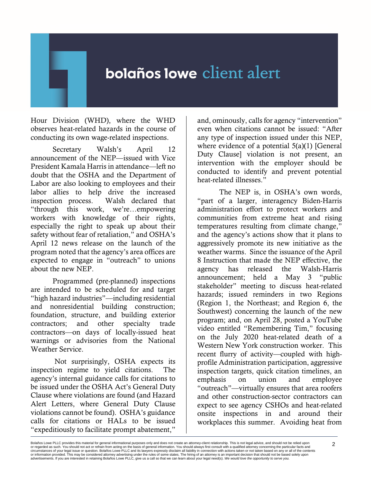## bolaños lowe client alert

Hour Division (WHD), where the WHD observes heat-related hazards in the course of conducting its own wage-related inspections.

Secretary Walsh's April 12 announcement of the NEP—issued with Vice President Kamala Harris in attendance—left no doubt that the OSHA and the Department of Labor are also looking to employees and their labor allies to help drive the increased inspection process. Walsh declared that "through this work, we're…empowering workers with knowledge of their rights, especially the right to speak up about their safety without fear of retaliation," and OSHA's April 12 news release on the launch of the program noted that the agency's area offices are expected to engage in "outreach" to unions about the new NEP.

Programmed (pre-planned) inspections are intended to be scheduled for and target "high hazard industries"—including residential and nonresidential building construction; foundation, structure, and building exterior contractors; and other specialty trade contractors—on days of locally-issued heat warnings or advisories from the National Weather Service.

 Not surprisingly, OSHA expects its inspection regime to yield citations. The agency's internal guidance calls for citations to be issued under the OSHA Act's General Duty Clause where violations are found (and Hazard Alert Letters, where General Duty Clause violations cannot be found). OSHA's guidance calls for citations or HALs to be issued "expeditiously to facilitate prompt abatement,"

and, ominously, calls for agency "intervention" even when citations cannot be issued: "After any type of inspection issued under this NEP, where evidence of a potential 5(a)(1) [General Duty Clause] violation is not present, an intervention with the employer should be conducted to identify and prevent potential heat-related illnesses."

The NEP is, in OSHA's own words, "part of a larger, interagency Biden-Harris administration effort to protect workers and communities from extreme heat and rising temperatures resulting from climate change," and the agency's actions show that it plans to aggressively promote its new initiative as the weather warms. Since the issuance of the April 8 Instruction that made the NEP effective, the agency has released the Walsh-Harris announcement; held a May 3 "public stakeholder" meeting to discuss heat-related hazards; issued reminders in two Regions (Region 1, the Northeast; and Region 6, the Southwest) concerning the launch of the new program; and, on April 28, posted a YouTube video entitled "Remembering Tim," focusing on the July 2020 heat-related death of a Western New York construction worker. This recent flurry of activity—coupled with highprofile Administration participation, aggressive inspection targets, quick citation timelines, an emphasis on union and employee "outreach"—virtually ensures that area roofers and other construction-sector contractors can expect to see agency CSHOs and heat-related onsite inspections in and around their workplaces this summer. Avoiding heat from

Bolaños Lowe PLLC provides this material for general informational purposes only and does not create an attorney-client relationship. This is not legal advice, and should not be relied upon or regarded as such. You should not act or refrain from acting on the basis of general information. You should always first consult with a qualified attorney concerning the particular facts and<br>circumstances of your legal